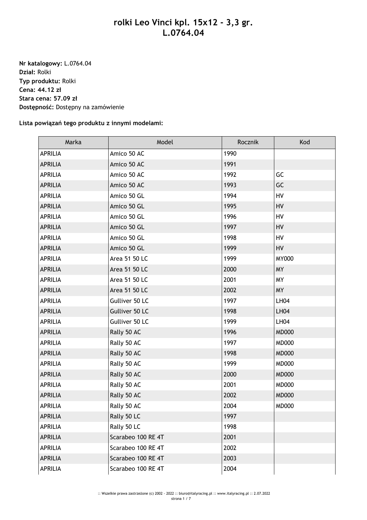## **rolki Leo Vinci kpl. 15x12 - 3,3 gr. L.0764.04**

**Nr katalogowy:** L.0764.04 **Dział:** Rolki **Typ produktu:** Rolki **Cena: 44.12 zł Stara cena: 57.09 zł Dostępność:** Dostępny na zamówienie

**Lista powiązań tego produktu z innymi modelami:**

| Marka          | Model              | Rocznik | Kod          |
|----------------|--------------------|---------|--------------|
| <b>APRILIA</b> | Amico 50 AC        | 1990    |              |
| <b>APRILIA</b> | Amico 50 AC        | 1991    |              |
| <b>APRILIA</b> | Amico 50 AC        | 1992    | GC           |
| <b>APRILIA</b> | Amico 50 AC        | 1993    | GC           |
| <b>APRILIA</b> | Amico 50 GL        | 1994    | HV           |
| <b>APRILIA</b> | Amico 50 GL        | 1995    | HV           |
| <b>APRILIA</b> | Amico 50 GL        | 1996    | HV           |
| <b>APRILIA</b> | Amico 50 GL        | 1997    | HV           |
| APRILIA        | Amico 50 GL        | 1998    | HV           |
| <b>APRILIA</b> | Amico 50 GL        | 1999    | HV           |
| <b>APRILIA</b> | Area 51 50 LC      | 1999    | <b>MY000</b> |
| <b>APRILIA</b> | Area 51 50 LC      | 2000    | <b>MY</b>    |
| APRILIA        | Area 51 50 LC      | 2001    | <b>MY</b>    |
| <b>APRILIA</b> | Area 51 50 LC      | 2002    | <b>MY</b>    |
| <b>APRILIA</b> | Gulliver 50 LC     | 1997    | <b>LH04</b>  |
| <b>APRILIA</b> | Gulliver 50 LC     | 1998    | <b>LH04</b>  |
| <b>APRILIA</b> | Gulliver 50 LC     | 1999    | <b>LH04</b>  |
| <b>APRILIA</b> | Rally 50 AC        | 1996    | <b>MD000</b> |
| <b>APRILIA</b> | Rally 50 AC        | 1997    | <b>MD000</b> |
| <b>APRILIA</b> | Rally 50 AC        | 1998    | <b>MD000</b> |
| <b>APRILIA</b> | Rally 50 AC        | 1999    | <b>MD000</b> |
| <b>APRILIA</b> | Rally 50 AC        | 2000    | <b>MD000</b> |
| <b>APRILIA</b> | Rally 50 AC        | 2001    | <b>MD000</b> |
| <b>APRILIA</b> | Rally 50 AC        | 2002    | <b>MD000</b> |
| <b>APRILIA</b> | Rally 50 AC        | 2004    | <b>MD000</b> |
| <b>APRILIA</b> | Rally 50 LC        | 1997    |              |
| APRILIA        | Rally 50 LC        | 1998    |              |
| <b>APRILIA</b> | Scarabeo 100 RE 4T | 2001    |              |
| APRILIA        | Scarabeo 100 RE 4T | 2002    |              |
| <b>APRILIA</b> | Scarabeo 100 RE 4T | 2003    |              |
| APRILIA        | Scarabeo 100 RE 4T | 2004    |              |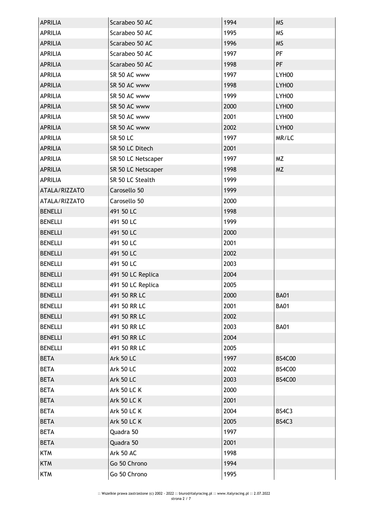| <b>APRILIA</b> | Scarabeo 50 AC     | 1994 | <b>MS</b>     |
|----------------|--------------------|------|---------------|
| <b>APRILIA</b> | Scarabeo 50 AC     | 1995 | <b>MS</b>     |
| <b>APRILIA</b> | Scarabeo 50 AC     | 1996 | <b>MS</b>     |
| <b>APRILIA</b> | Scarabeo 50 AC     | 1997 | PF            |
| <b>APRILIA</b> | Scarabeo 50 AC     | 1998 | PF            |
| <b>APRILIA</b> | SR 50 AC www       | 1997 | LYH00         |
| <b>APRILIA</b> | SR 50 AC www       | 1998 | LYH00         |
| <b>APRILIA</b> | SR 50 AC www       | 1999 | LYH00         |
| <b>APRILIA</b> | SR 50 AC www       | 2000 | LYH00         |
| <b>APRILIA</b> | SR 50 AC www       | 2001 | LYH00         |
| <b>APRILIA</b> | SR 50 AC www       | 2002 | LYH00         |
| <b>APRILIA</b> | <b>SR 50 LC</b>    | 1997 | MR/LC         |
| <b>APRILIA</b> | SR 50 LC Ditech    | 2001 |               |
| <b>APRILIA</b> | SR 50 LC Netscaper | 1997 | <b>MZ</b>     |
| <b>APRILIA</b> | SR 50 LC Netscaper | 1998 | <b>MZ</b>     |
| <b>APRILIA</b> | SR 50 LC Stealth   | 1999 |               |
| ATALA/RIZZATO  | Carosello 50       | 1999 |               |
| ATALA/RIZZATO  | Carosello 50       | 2000 |               |
| <b>BENELLI</b> | 491 50 LC          | 1998 |               |
| <b>BENELLI</b> | 491 50 LC          | 1999 |               |
| <b>BENELLI</b> | 491 50 LC          | 2000 |               |
| <b>BENELLI</b> | 491 50 LC          | 2001 |               |
| <b>BENELLI</b> | 491 50 LC          | 2002 |               |
| <b>BENELLI</b> | 491 50 LC          | 2003 |               |
| <b>BENELLI</b> | 491 50 LC Replica  | 2004 |               |
| <b>BENELLI</b> | 491 50 LC Replica  | 2005 |               |
| <b>BENELLI</b> | 491 50 RR LC       | 2000 | <b>BA01</b>   |
| <b>BENELLI</b> | 491 50 RR LC       | 2001 | <b>BA01</b>   |
| <b>BENELLI</b> | 491 50 RR LC       | 2002 |               |
| <b>BENELLI</b> | 491 50 RR LC       | 2003 | <b>BA01</b>   |
| <b>BENELLI</b> | 491 50 RR LC       | 2004 |               |
| <b>BENELLI</b> | 491 50 RR LC       | 2005 |               |
| <b>BETA</b>    | <b>Ark 50 LC</b>   | 1997 | <b>BS4C00</b> |
| <b>BETA</b>    | Ark 50 LC          | 2002 | <b>BS4C00</b> |
| <b>BETA</b>    | <b>Ark 50 LC</b>   | 2003 | <b>BS4C00</b> |
| <b>BETA</b>    | <b>Ark 50 LC K</b> | 2000 |               |
| <b>BETA</b>    | <b>Ark 50 LC K</b> | 2001 |               |
| <b>BETA</b>    | <b>Ark 50 LC K</b> | 2004 | BS4C3         |
| <b>BETA</b>    | <b>Ark 50 LC K</b> | 2005 | BS4C3         |
| <b>BETA</b>    | Quadra 50          | 1997 |               |
| <b>BETA</b>    | Quadra 50          | 2001 |               |
| <b>KTM</b>     | Ark 50 AC          | 1998 |               |
| <b>KTM</b>     | Go 50 Chrono       | 1994 |               |
| <b>KTM</b>     | Go 50 Chrono       | 1995 |               |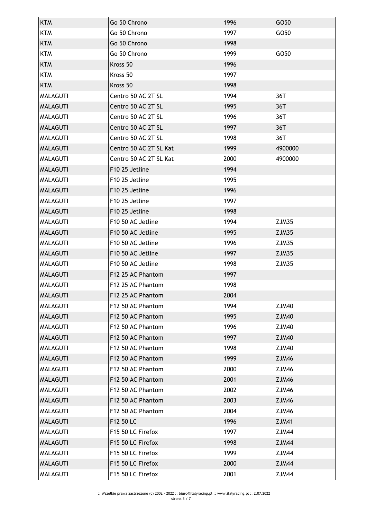| <b>KTM</b>      | Go 50 Chrono               | 1996 | GO50         |
|-----------------|----------------------------|------|--------------|
| <b>KTM</b>      | Go 50 Chrono               | 1997 | GO50         |
| <b>KTM</b>      | Go 50 Chrono               | 1998 |              |
| <b>KTM</b>      | Go 50 Chrono               | 1999 | GO50         |
| <b>KTM</b>      | Kross 50                   | 1996 |              |
| <b>KTM</b>      | Kross 50                   | 1997 |              |
| <b>KTM</b>      | Kross 50                   | 1998 |              |
| <b>MALAGUTI</b> | Centro 50 AC 2T SL         | 1994 | 36T          |
| <b>MALAGUTI</b> | Centro 50 AC 2T SL         | 1995 | 36T          |
| <b>MALAGUTI</b> | Centro 50 AC 2T SL         | 1996 | 36T          |
| <b>MALAGUTI</b> | Centro 50 AC 2T SL         | 1997 | 36T          |
| <b>MALAGUTI</b> | Centro 50 AC 2T SL         | 1998 | 36T          |
| <b>MALAGUTI</b> | Centro 50 AC 2T SL Kat     | 1999 | 4900000      |
| <b>MALAGUTI</b> | Centro 50 AC 2T SL Kat     | 2000 | 4900000      |
| <b>MALAGUTI</b> | F10 25 Jetline             | 1994 |              |
| <b>MALAGUTI</b> | F10 25 Jetline             | 1995 |              |
| <b>MALAGUTI</b> | F10 25 Jetline             | 1996 |              |
| <b>MALAGUTI</b> | F <sub>10</sub> 25 Jetline | 1997 |              |
| <b>MALAGUTI</b> | F10 25 Jetline             | 1998 |              |
| <b>MALAGUTI</b> | F10 50 AC Jetline          | 1994 | ZJM35        |
| <b>MALAGUTI</b> | F10 50 AC Jetline          | 1995 | ZJM35        |
| <b>MALAGUTI</b> | F10 50 AC Jetline          | 1996 | ZJM35        |
| <b>MALAGUTI</b> | F10 50 AC Jetline          | 1997 | ZJM35        |
| <b>MALAGUTI</b> | F10 50 AC Jetline          | 1998 | ZJM35        |
| <b>MALAGUTI</b> | F12 25 AC Phantom          | 1997 |              |
| <b>MALAGUTI</b> | F12 25 AC Phantom          | 1998 |              |
| <b>MALAGUTI</b> | F12 25 AC Phantom          | 2004 |              |
| <b>MALAGUTI</b> | F12 50 AC Phantom          | 1994 | <b>ZJM40</b> |
| <b>MALAGUTI</b> | F12 50 AC Phantom          | 1995 | <b>ZJM40</b> |
| <b>MALAGUTI</b> | F12 50 AC Phantom          | 1996 | ZJM40        |
| <b>MALAGUTI</b> | F12 50 AC Phantom          | 1997 | <b>ZJM40</b> |
| <b>MALAGUTI</b> | F12 50 AC Phantom          | 1998 | <b>ZJM40</b> |
| <b>MALAGUTI</b> | F12 50 AC Phantom          | 1999 | <b>ZJM46</b> |
| <b>MALAGUTI</b> | F12 50 AC Phantom          | 2000 | <b>ZJM46</b> |
| <b>MALAGUTI</b> | F12 50 AC Phantom          | 2001 | <b>ZJM46</b> |
| <b>MALAGUTI</b> | F12 50 AC Phantom          | 2002 | ZJM46        |
| <b>MALAGUTI</b> | F12 50 AC Phantom          | 2003 | <b>ZJM46</b> |
| <b>MALAGUTI</b> | F12 50 AC Phantom          | 2004 | ZJM46        |
| <b>MALAGUTI</b> | F12 50 LC                  | 1996 | <b>ZJM41</b> |
| <b>MALAGUTI</b> | F15 50 LC Firefox          | 1997 | ZJM44        |
| <b>MALAGUTI</b> | F15 50 LC Firefox          | 1998 | <b>ZJM44</b> |
| <b>MALAGUTI</b> | F15 50 LC Firefox          | 1999 | ZJM44        |
| <b>MALAGUTI</b> | F15 50 LC Firefox          | 2000 | ZJM44        |
| <b>MALAGUTI</b> | F15 50 LC Firefox          | 2001 | ZJM44        |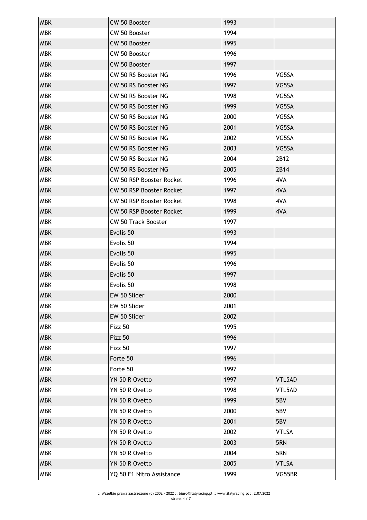| <b>MBK</b> | CW 50 Booster                   | 1993 |              |
|------------|---------------------------------|------|--------------|
| <b>MBK</b> | CW 50 Booster                   | 1994 |              |
| <b>MBK</b> | CW 50 Booster                   | 1995 |              |
| <b>MBK</b> | CW 50 Booster                   | 1996 |              |
| <b>MBK</b> | CW 50 Booster                   | 1997 |              |
| <b>MBK</b> | CW 50 RS Booster NG             | 1996 | VG5SA        |
| <b>MBK</b> | CW 50 RS Booster NG             | 1997 | VG5SA        |
| <b>MBK</b> | CW 50 RS Booster NG             | 1998 | VG5SA        |
| <b>MBK</b> | CW 50 RS Booster NG             | 1999 | VG5SA        |
| <b>MBK</b> | CW 50 RS Booster NG             | 2000 | VG5SA        |
| <b>MBK</b> | CW 50 RS Booster NG             | 2001 | VG5SA        |
| <b>MBK</b> | CW 50 RS Booster NG             | 2002 | VG5SA        |
| <b>MBK</b> | CW 50 RS Booster NG             | 2003 | VG5SA        |
| <b>MBK</b> | CW 50 RS Booster NG             | 2004 | 2B12         |
| <b>MBK</b> | CW 50 RS Booster NG             | 2005 | 2B14         |
| <b>MBK</b> | CW 50 RSP Booster Rocket        | 1996 | 4VA          |
| <b>MBK</b> | <b>CW 50 RSP Booster Rocket</b> | 1997 | 4VA          |
| <b>MBK</b> | CW 50 RSP Booster Rocket        | 1998 | 4VA          |
| <b>MBK</b> | CW 50 RSP Booster Rocket        | 1999 | 4VA          |
| <b>MBK</b> | <b>CW 50 Track Booster</b>      | 1997 |              |
| <b>MBK</b> | Evolis 50                       | 1993 |              |
| <b>MBK</b> | Evolis 50                       | 1994 |              |
| <b>MBK</b> | Evolis 50                       | 1995 |              |
| <b>MBK</b> | Evolis 50                       | 1996 |              |
| <b>MBK</b> | Evolis 50                       | 1997 |              |
| <b>MBK</b> | Evolis 50                       | 1998 |              |
| <b>MBK</b> | EW 50 Slider                    | 2000 |              |
| <b>MBK</b> | EW 50 Slider                    | 2001 |              |
| <b>MBK</b> | EW 50 Slider                    | 2002 |              |
| <b>MBK</b> | Fizz 50                         | 1995 |              |
| <b>MBK</b> | Fizz 50                         | 1996 |              |
| <b>MBK</b> | Fizz 50                         | 1997 |              |
| <b>MBK</b> | Forte 50                        | 1996 |              |
| <b>MBK</b> | Forte 50                        | 1997 |              |
| <b>MBK</b> | YN 50 R Ovetto                  | 1997 | VTL5AD       |
| <b>MBK</b> | YN 50 R Ovetto                  | 1998 | VTL5AD       |
| <b>MBK</b> | YN 50 R Ovetto                  | 1999 | 5BV          |
| <b>MBK</b> | YN 50 R Ovetto                  | 2000 | 5BV          |
| <b>MBK</b> | YN 50 R Ovetto                  | 2001 | 5BV          |
| <b>MBK</b> | YN 50 R Ovetto                  | 2002 | <b>VTLSA</b> |
| <b>MBK</b> | YN 50 R Ovetto                  | 2003 | 5RN          |
| <b>MBK</b> | YN 50 R Ovetto                  | 2004 | 5RN          |
| <b>MBK</b> | YN 50 R Ovetto                  | 2005 | <b>VTLSA</b> |
| <b>MBK</b> | YQ 50 F1 Nitro Assistance       | 1999 | VG55BR       |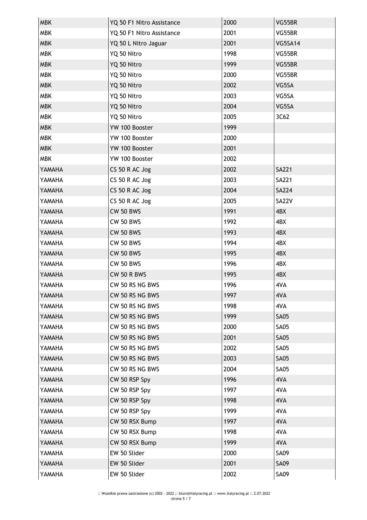| <b>MBK</b> | YQ 50 F1 Nitro Assistance | 2000 | VG55BR         |
|------------|---------------------------|------|----------------|
| <b>MBK</b> | YQ 50 F1 Nitro Assistance | 2001 | VG55BR         |
| <b>MBK</b> | YQ 50 L Nitro Jaguar      | 2001 | <b>VG5SA14</b> |
| <b>MBK</b> | YQ 50 Nitro               | 1998 | VG55BR         |
| <b>MBK</b> | YQ 50 Nitro               | 1999 | VG55BR         |
| <b>MBK</b> | YQ 50 Nitro               | 2000 | VG55BR         |
| <b>MBK</b> | YQ 50 Nitro               | 2002 | VG5SA          |
| <b>MBK</b> | YQ 50 Nitro               | 2003 | VG5SA          |
| <b>MBK</b> | YQ 50 Nitro               | 2004 | VG5SA          |
| <b>MBK</b> | YQ 50 Nitro               | 2005 | 3C62           |
| <b>MBK</b> | YW 100 Booster            | 1999 |                |
| <b>MBK</b> | YW 100 Booster            | 2000 |                |
| <b>MBK</b> | YW 100 Booster            | 2001 |                |
| <b>MBK</b> | YW 100 Booster            | 2002 |                |
| YAMAHA     | CS 50 R AC Jog            | 2002 | <b>SA221</b>   |
| YAMAHA     | CS 50 R AC Jog            | 2003 | SA221          |
| YAMAHA     | CS 50 R AC Jog            | 2004 | <b>SA224</b>   |
| YAMAHA     | CS 50 R AC Jog            | 2005 | SA22V          |
| YAMAHA     | <b>CW 50 BWS</b>          | 1991 | 4BX            |
| YAMAHA     | <b>CW 50 BWS</b>          | 1992 | 4BX            |
| YAMAHA     | <b>CW 50 BWS</b>          | 1993 | 4BX            |
| YAMAHA     | <b>CW 50 BWS</b>          | 1994 | 4BX            |
| YAMAHA     | <b>CW 50 BWS</b>          | 1995 | 4BX            |
| YAMAHA     | <b>CW 50 BWS</b>          | 1996 | 4BX            |
| YAMAHA     | <b>CW 50 R BWS</b>        | 1995 | 4BX            |
| YAMAHA     | CW 50 RS NG BWS           | 1996 | 4VA            |
| YAMAHA     | CW 50 RS NG BWS           | 1997 | 4VA            |
| YAMAHA     | CW 50 RS NG BWS           | 1998 | 4VA            |
| YAMAHA     | CW 50 RS NG BWS           | 1999 | <b>SA05</b>    |
| YAMAHA     | CW 50 RS NG BWS           | 2000 | <b>SA05</b>    |
| YAMAHA     | CW 50 RS NG BWS           | 2001 | <b>SA05</b>    |
| YAMAHA     | CW 50 RS NG BWS           | 2002 | <b>SA05</b>    |
| YAMAHA     | CW 50 RS NG BWS           | 2003 | <b>SA05</b>    |
| YAMAHA     | CW 50 RS NG BWS           | 2004 | <b>SA05</b>    |
| YAMAHA     | CW 50 RSP Spy             | 1996 | 4VA            |
| YAMAHA     | CW 50 RSP Spy             | 1997 | 4VA            |
| YAMAHA     | CW 50 RSP Spy             | 1998 | 4VA            |
| YAMAHA     | CW 50 RSP Spy             | 1999 | 4VA            |
| YAMAHA     | CW 50 RSX Bump            | 1997 | 4VA            |
| YAMAHA     | CW 50 RSX Bump            | 1998 | 4VA            |
| YAMAHA     | CW 50 RSX Bump            | 1999 | 4VA            |
| YAMAHA     | EW 50 Slider              | 2000 | <b>SA09</b>    |
| YAMAHA     | EW 50 Slider              | 2001 | <b>SA09</b>    |
| YAMAHA     | EW 50 Slider              | 2002 | SA09           |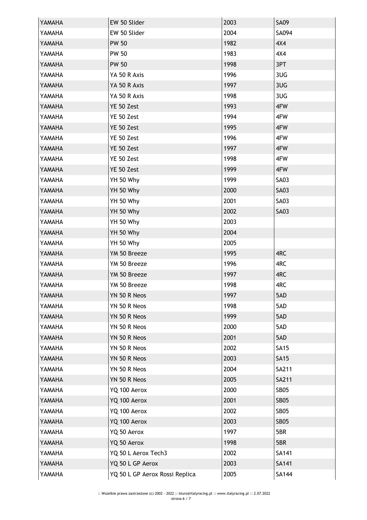| YAMAHA        | EW 50 Slider                   | 2003 | <b>SA09</b>  |
|---------------|--------------------------------|------|--------------|
| YAMAHA        | EW 50 Slider                   | 2004 | SA094        |
| YAMAHA        | <b>PW 50</b>                   | 1982 | 4X4          |
| YAMAHA        | <b>PW 50</b>                   | 1983 | 4X4          |
| YAMAHA        | <b>PW 50</b>                   | 1998 | 3PT          |
| YAMAHA        | YA 50 R Axis                   | 1996 | 3UG          |
| YAMAHA        | YA 50 R Axis                   | 1997 | 3UG          |
| YAMAHA        | YA 50 R Axis                   | 1998 | 3UG          |
| YAMAHA        | YE 50 Zest                     | 1993 | 4FW          |
| YAMAHA        | YE 50 Zest                     | 1994 | 4FW          |
| YAMAHA        | YE 50 Zest                     | 1995 | 4FW          |
| YAMAHA        | YE 50 Zest                     | 1996 | 4FW          |
| YAMAHA        | YE 50 Zest                     | 1997 | 4FW          |
| YAMAHA        | YE 50 Zest                     | 1998 | 4FW          |
| YAMAHA        | YE 50 Zest                     | 1999 | 4FW          |
| YAMAHA        | YH 50 Why                      | 1999 | <b>SA03</b>  |
| YAMAHA        | YH 50 Why                      | 2000 | <b>SA03</b>  |
| YAMAHA        | YH 50 Why                      | 2001 | <b>SA03</b>  |
| YAMAHA        | YH 50 Why                      | 2002 | <b>SA03</b>  |
| YAMAHA        | YH 50 Why                      | 2003 |              |
| YAMAHA        | YH 50 Why                      | 2004 |              |
| YAMAHA        | YH 50 Why                      | 2005 |              |
| YAMAHA        | YM 50 Breeze                   | 1995 | 4RC          |
| YAMAHA        | YM 50 Breeze                   | 1996 | 4RC          |
| YAMAHA        | YM 50 Breeze                   | 1997 | 4RC          |
| YAMAHA        | YM 50 Breeze                   | 1998 | 4RC          |
| <b>AHAMAY</b> | YN 50 R Neos                   | 1997 | 5AD          |
| YAMAHA        | YN 50 R Neos                   | 1998 | 5AD          |
| YAMAHA        | YN 50 R Neos                   | 1999 | 5AD          |
| YAMAHA        | YN 50 R Neos                   | 2000 | 5AD          |
| YAMAHA        | YN 50 R Neos                   | 2001 | 5AD          |
| YAMAHA        | YN 50 R Neos                   | 2002 | <b>SA15</b>  |
| YAMAHA        | YN 50 R Neos                   | 2003 | <b>SA15</b>  |
| YAMAHA        | YN 50 R Neos                   | 2004 | SA211        |
| YAMAHA        | YN 50 R Neos                   | 2005 | SA211        |
| YAMAHA        | YQ 100 Aerox                   | 2000 | <b>SB05</b>  |
| YAMAHA        | YQ 100 Aerox                   | 2001 | <b>SB05</b>  |
| YAMAHA        | YQ 100 Aerox                   | 2002 | <b>SB05</b>  |
| YAMAHA        | YQ 100 Aerox                   | 2003 | <b>SB05</b>  |
| YAMAHA        | YQ 50 Aerox                    | 1997 | 5BR          |
| YAMAHA        | YQ 50 Aerox                    | 1998 | 5BR          |
| YAMAHA        | YQ 50 L Aerox Tech3            | 2002 | SA141        |
| YAMAHA        | YQ 50 L GP Aerox               | 2003 | SA141        |
| YAMAHA        | YQ 50 L GP Aerox Rossi Replica | 2005 | <b>SA144</b> |